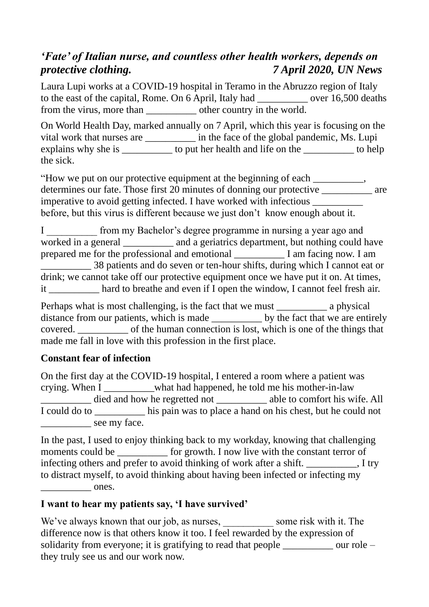## *'Fate' of Italian nurse, and countless other health workers, depends on protective clothing. 7 April 2020, UN News*

Laura Lupi works at a [COVID-19](https://www.un.org/coronavirus) hospital in Teramo in the Abruzzo region of Italy to the east of the capital, Rome. On 6 April, Italy had over 16,500 deaths from the virus, more than the vorted.

On [World Health Day,](https://www.who.int/news-room/campaigns/world-health-day/world-health-day-2020) marked annually on 7 April, which this year is focusing on the vital work that nurses are \_\_\_\_\_\_\_\_\_\_\_ in the face of the global pandemic, Ms. Lupi explains why she is \_\_\_\_\_\_\_\_\_\_ to put her health and life on the \_\_\_\_\_\_\_\_\_\_ to help the sick.

"How we put on our protective equipment at the beginning of each \_\_\_\_\_\_\_\_\_\_, determines our fate. Those first 20 minutes of donning our protective \_\_\_\_\_\_\_\_\_\_ are imperative to avoid getting infected. I have worked with infectious \_\_\_\_\_\_\_\_\_\_ before, but this virus is different because we just don't know enough about it.

I from my Bachelor's degree programme in nursing a year ago and worked in a general \_\_\_\_\_\_\_\_\_\_ and a geriatrics department, but nothing could have prepared me for the professional and emotional \_\_\_\_\_\_\_\_\_\_ I am facing now. I am \_\_\_\_\_\_\_\_\_\_ 38 patients and do seven or ten-hour shifts, during which I cannot eat or drink; we cannot take off our protective equipment once we have put it on. At times, it hard to breathe and even if I open the window, I cannot feel fresh air.

Perhaps what is most challenging, is the fact that we must a physical distance from our patients, which is made \_\_\_\_\_\_\_\_\_\_ by the fact that we are entirely covered. \_\_\_\_\_\_\_\_\_\_ of the human connection is lost, which is one of the things that made me fall in love with this profession in the first place.

## **Constant fear of infection**

On the first day at the COVID-19 hospital, I entered a room where a patient was crying. When I \_\_\_\_\_\_\_\_\_\_what had happened, he told me his mother-in-law died and how he regretted not \_\_\_\_\_\_\_\_\_\_\_ able to comfort his wife. All I could do to \_\_\_\_\_\_\_\_\_\_ his pain was to place a hand on his chest, but he could not \_\_\_\_\_\_\_\_\_\_ see my face.

In the past, I used to enjoy thinking back to my workday, knowing that challenging moments could be \_\_\_\_\_\_\_\_\_\_\_ for growth. I now live with the constant terror of infecting others and prefer to avoid thinking of work after a shift.  $\qquad \qquad$ , I try to distract myself, to avoid thinking about having been infected or infecting my  $ones.$ 

## **I want to hear my patients say, 'I have survived'**

We've always known that our job, as nurses, \_\_\_\_\_\_\_\_\_\_\_\_ some risk with it. The difference now is that others know it too. I feel rewarded by the expression of solidarity from everyone; it is gratifying to read that people \_\_\_\_\_\_\_\_\_ our role – they truly see us and our work now.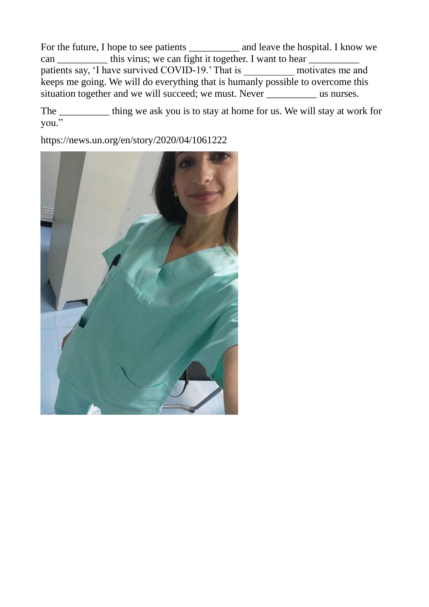For the future, I hope to see patients \_\_\_\_\_\_\_\_\_\_\_ and leave the hospital. I know we can \_\_\_\_\_\_\_\_\_\_\_ this virus; we can fight it together. I want to hear patients say, 'I have survived COVID-19.' That is \_\_\_\_\_\_\_\_\_\_\_\_\_\_ motivates me and keeps me going. We will do everything that is humanly possible to overcome this situation together and we will succeed; we must. Never \_\_\_\_\_\_\_\_\_\_\_\_ us nurses.

The \_\_\_\_\_\_\_\_\_ thing we ask you is to stay at home for us. We will stay at work for you."

<https://news.un.org/en/story/2020/04/1061222>